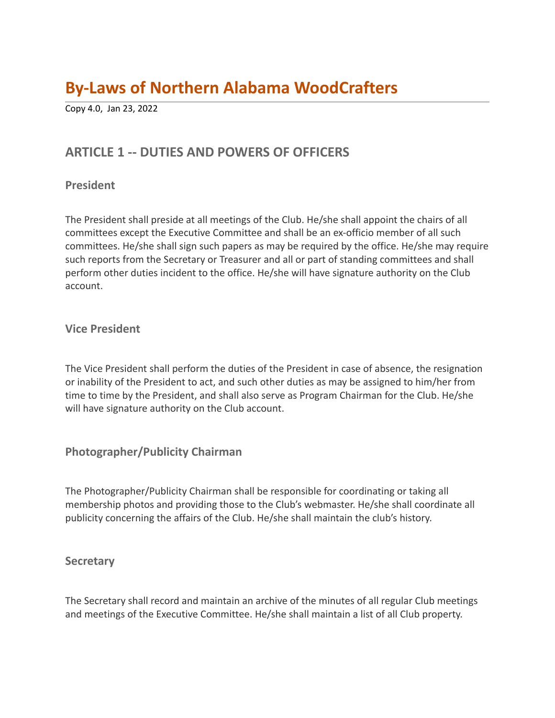# **By-Laws of Northern Alabama WoodCrafters**

Copy 4.0, Jan 23, 2022

# **ARTICLE 1 -- DUTIES AND POWERS OF OFFICERS**

#### **President**

The President shall preside at all meetings of the Club. He/she shall appoint the chairs of all committees except the Executive Committee and shall be an ex-officio member of all such committees. He/she shall sign such papers as may be required by the office. He/she may require such reports from the Secretary or Treasurer and all or part of standing committees and shall perform other duties incident to the office. He/she will have signature authority on the Club account.

#### **Vice President**

The Vice President shall perform the duties of the President in case of absence, the resignation or inability of the President to act, and such other duties as may be assigned to him/her from time to time by the President, and shall also serve as Program Chairman for the Club. He/she will have signature authority on the Club account.

## **Photographer/Publicity Chairman**

The Photographer/Publicity Chairman shall be responsible for coordinating or taking all membership photos and providing those to the Club's webmaster. He/she shall coordinate all publicity concerning the affairs of the Club. He/she shall maintain the club's history.

#### **Secretary**

The Secretary shall record and maintain an archive of the minutes of all regular Club meetings and meetings of the Executive Committee. He/she shall maintain a list of all Club property.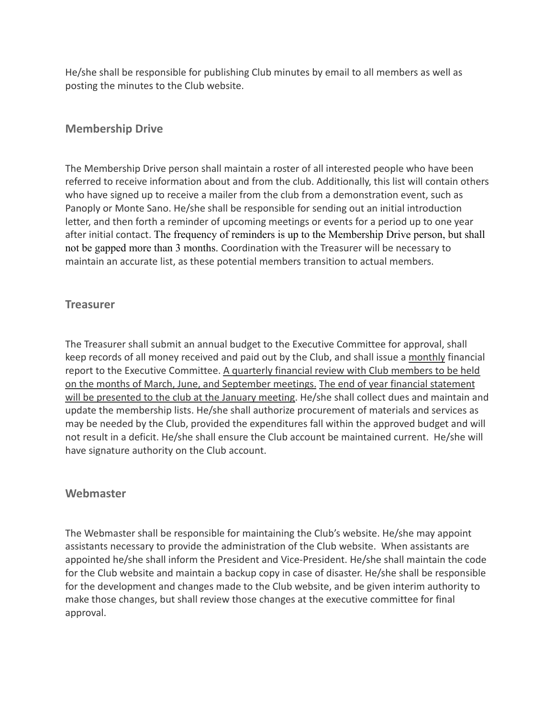He/she shall be responsible for publishing Club minutes by email to all members as well as posting the minutes to the Club website.

## **Membership Drive**

The Membership Drive person shall maintain a roster of all interested people who have been referred to receive information about and from the club. Additionally, this list will contain others who have signed up to receive a mailer from the club from a demonstration event, such as Panoply or Monte Sano. He/she shall be responsible for sending out an initial introduction letter, and then forth a reminder of upcoming meetings or events for a period up to one year after initial contact. The frequency of reminders is up to the Membership Drive person, but shall not be gapped more than 3 months. Coordination with the Treasurer will be necessary to maintain an accurate list, as these potential members transition to actual members.

#### **Treasurer**

The Treasurer shall submit an annual budget to the Executive Committee for approval, shall keep records of all money received and paid out by the Club, and shall issue a monthly financial report to the Executive Committee. A quarterly financial review with Club members to be held on the months of March, June, and September meetings. The end of year financial statement will be presented to the club at the January meeting. He/she shall collect dues and maintain and update the membership lists. He/she shall authorize procurement of materials and services as may be needed by the Club, provided the expenditures fall within the approved budget and will not result in a deficit. He/she shall ensure the Club account be maintained current. He/she will have signature authority on the Club account.

#### **Webmaster**

The Webmaster shall be responsible for maintaining the Club's website. He/she may appoint assistants necessary to provide the administration of the Club website. When assistants are appointed he/she shall inform the President and Vice-President. He/she shall maintain the code for the Club website and maintain a backup copy in case of disaster. He/she shall be responsible for the development and changes made to the Club website, and be given interim authority to make those changes, but shall review those changes at the executive committee for final approval.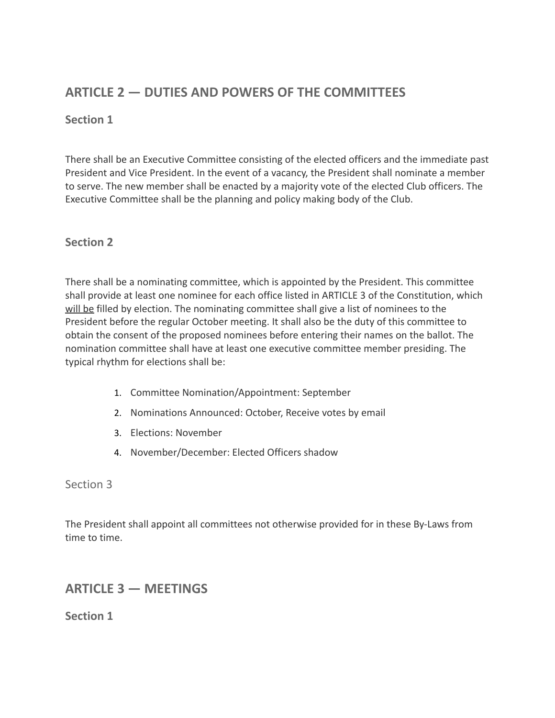# **ARTICLE 2 — DUTIES AND POWERS OF THE COMMITTEES**

## **Section 1**

There shall be an Executive Committee consisting of the elected officers and the immediate past President and Vice President. In the event of a vacancy, the President shall nominate a member to serve. The new member shall be enacted by a majority vote of the elected Club officers. The Executive Committee shall be the planning and policy making body of the Club.

## **Section 2**

There shall be a nominating committee, which is appointed by the President. This committee shall provide at least one nominee for each office listed in ARTICLE 3 of the Constitution, which will be filled by election. The nominating committee shall give a list of nominees to the President before the regular October meeting. It shall also be the duty of this committee to obtain the consent of the proposed nominees before entering their names on the ballot. The nomination committee shall have at least one executive committee member presiding. The typical rhythm for elections shall be:

- 1. Committee Nomination/Appointment: September
- 2. Nominations Announced: October, Receive votes by email
- 3. Elections: November
- 4. November/December: Elected Officers shadow

Section 3

The President shall appoint all committees not otherwise provided for in these By-Laws from time to time.

## **ARTICLE 3 — MEETINGS**

**Section 1**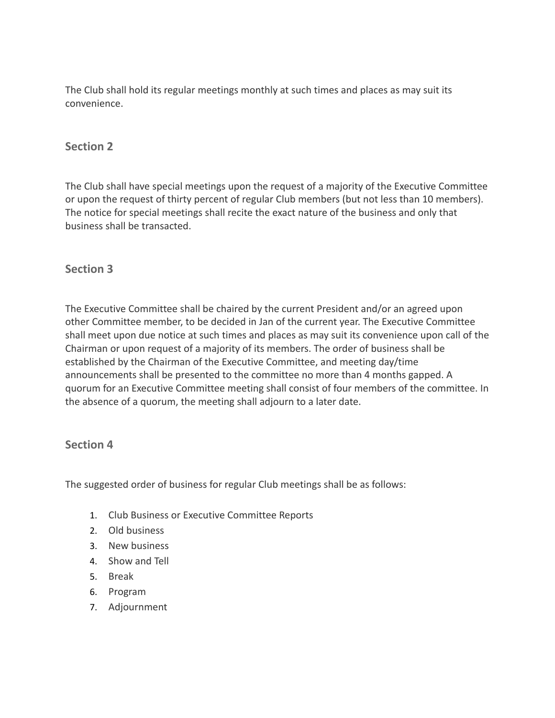The Club shall hold its regular meetings monthly at such times and places as may suit its convenience.

#### **Section 2**

The Club shall have special meetings upon the request of a majority of the Executive Committee or upon the request of thirty percent of regular Club members (but not less than 10 members). The notice for special meetings shall recite the exact nature of the business and only that business shall be transacted.

## **Section 3**

The Executive Committee shall be chaired by the current President and/or an agreed upon other Committee member, to be decided in Jan of the current year. The Executive Committee shall meet upon due notice at such times and places as may suit its convenience upon call of the Chairman or upon request of a majority of its members. The order of business shall be established by the Chairman of the Executive Committee, and meeting day/time announcements shall be presented to the committee no more than 4 months gapped. A quorum for an Executive Committee meeting shall consist of four members of the committee. In the absence of a quorum, the meeting shall adjourn to a later date.

#### **Section 4**

The suggested order of business for regular Club meetings shall be as follows:

- 1. Club Business or Executive Committee Reports
- 2. Old business
- 3. New business
- 4. Show and Tell
- 5. Break
- 6. Program
- 7. Adjournment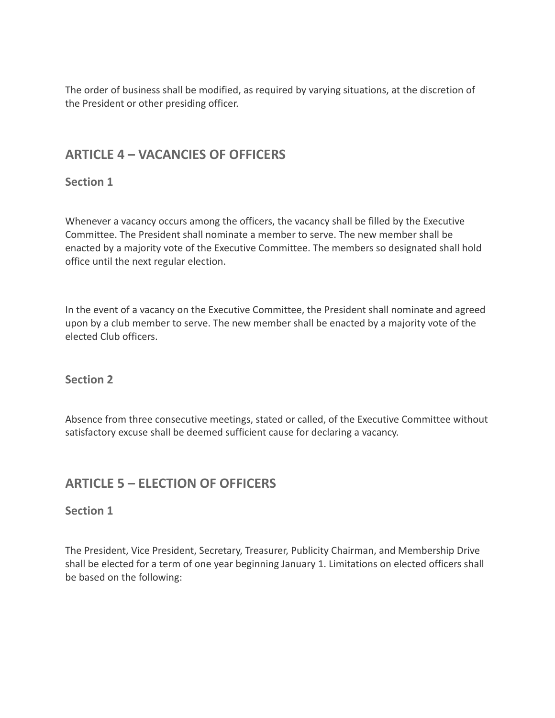The order of business shall be modified, as required by varying situations, at the discretion of the President or other presiding officer.

# **ARTICLE 4 – VACANCIES OF OFFICERS**

## **Section 1**

Whenever a vacancy occurs among the officers, the vacancy shall be filled by the Executive Committee. The President shall nominate a member to serve. The new member shall be enacted by a majority vote of the Executive Committee. The members so designated shall hold office until the next regular election.

In the event of a vacancy on the Executive Committee, the President shall nominate and agreed upon by a club member to serve. The new member shall be enacted by a majority vote of the elected Club officers.

## **Section 2**

Absence from three consecutive meetings, stated or called, of the Executive Committee without satisfactory excuse shall be deemed sufficient cause for declaring a vacancy.

# **ARTICLE 5 – ELECTION OF OFFICERS**

## **Section 1**

The President, Vice President, Secretary, Treasurer, Publicity Chairman, and Membership Drive shall be elected for a term of one year beginning January 1. Limitations on elected officers shall be based on the following: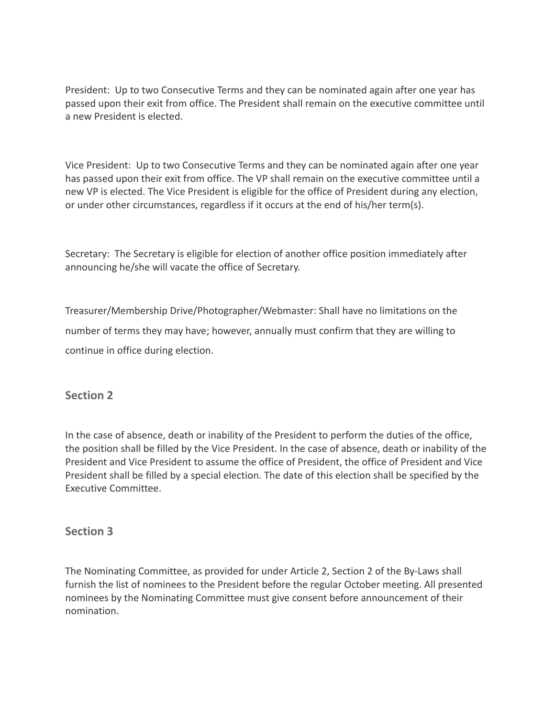President: Up to two Consecutive Terms and they can be nominated again after one year has passed upon their exit from office. The President shall remain on the executive committee until a new President is elected.

Vice President: Up to two Consecutive Terms and they can be nominated again after one year has passed upon their exit from office. The VP shall remain on the executive committee until a new VP is elected. The Vice President is eligible for the office of President during any election, or under other circumstances, regardless if it occurs at the end of his/her term(s).

Secretary: The Secretary is eligible for election of another office position immediately after announcing he/she will vacate the office of Secretary.

Treasurer/Membership Drive/Photographer/Webmaster: Shall have no limitations on the number of terms they may have; however, annually must confirm that they are willing to continue in office during election.

## **Section 2**

In the case of absence, death or inability of the President to perform the duties of the office, the position shall be filled by the Vice President. In the case of absence, death or inability of the President and Vice President to assume the office of President, the office of President and Vice President shall be filled by a special election. The date of this election shall be specified by the Executive Committee.

## **Section 3**

The Nominating Committee, as provided for under Article 2, Section 2 of the By-Laws shall furnish the list of nominees to the President before the regular October meeting. All presented nominees by the Nominating Committee must give consent before announcement of their nomination.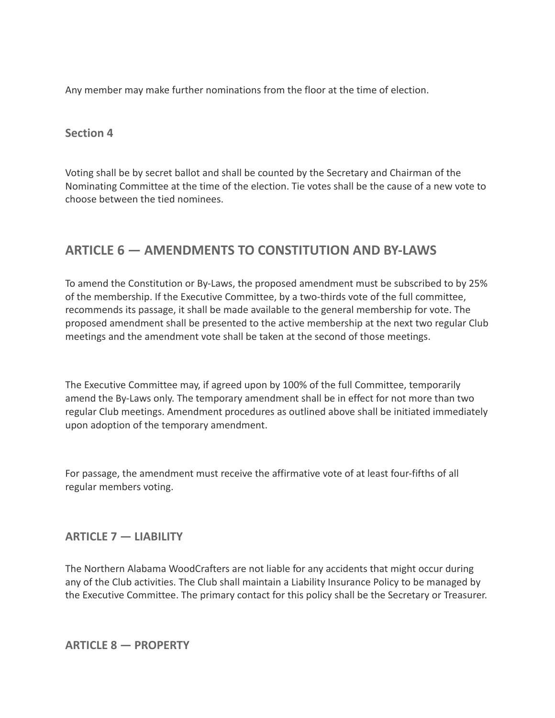Any member may make further nominations from the floor at the time of election.

#### **Section 4**

Voting shall be by secret ballot and shall be counted by the Secretary and Chairman of the Nominating Committee at the time of the election. Tie votes shall be the cause of a new vote to choose between the tied nominees.

# **ARTICLE 6 — AMENDMENTS TO CONSTITUTION AND BY-LAWS**

To amend the Constitution or By-Laws, the proposed amendment must be subscribed to by 25% of the membership. If the Executive Committee, by a two-thirds vote of the full committee, recommends its passage, it shall be made available to the general membership for vote. The proposed amendment shall be presented to the active membership at the next two regular Club meetings and the amendment vote shall be taken at the second of those meetings.

The Executive Committee may, if agreed upon by 100% of the full Committee, temporarily amend the By-Laws only. The temporary amendment shall be in effect for not more than two regular Club meetings. Amendment procedures as outlined above shall be initiated immediately upon adoption of the temporary amendment.

For passage, the amendment must receive the affirmative vote of at least four-fifths of all regular members voting.

#### **ARTICLE 7 — LIABILITY**

The Northern Alabama WoodCrafters are not liable for any accidents that might occur during any of the Club activities. The Club shall maintain a Liability Insurance Policy to be managed by the Executive Committee. The primary contact for this policy shall be the Secretary or Treasurer.

**ARTICLE 8 — PROPERTY**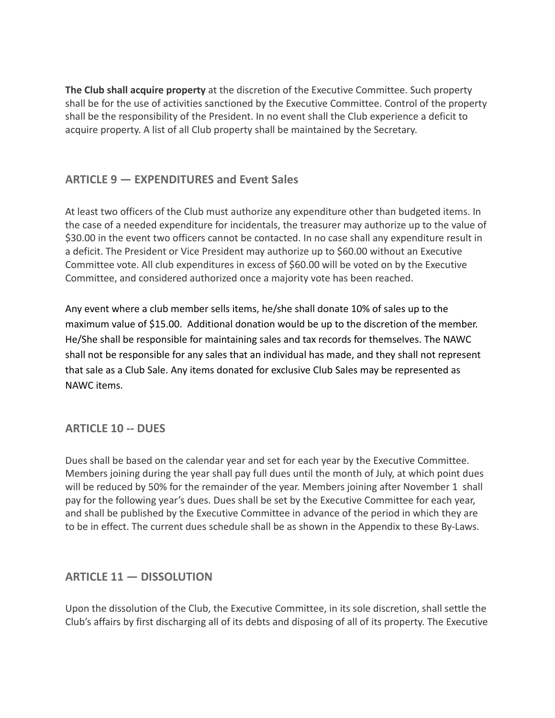**The Club shall acquire property** at the discretion of the Executive Committee. Such property shall be for the use of activities sanctioned by the Executive Committee. Control of the property shall be the responsibility of the President. In no event shall the Club experience a deficit to acquire property. A list of all Club property shall be maintained by the Secretary.

## **ARTICLE 9 — EXPENDITURES and Event Sales**

At least two officers of the Club must authorize any expenditure other than budgeted items. In the case of a needed expenditure for incidentals, the treasurer may authorize up to the value of \$30.00 in the event two officers cannot be contacted. In no case shall any expenditure result in a deficit. The President or Vice President may authorize up to \$60.00 without an Executive Committee vote. All club expenditures in excess of \$60.00 will be voted on by the Executive Committee, and considered authorized once a majority vote has been reached.

Any event where a club member sells items, he/she shall donate 10% of sales up to the maximum value of \$15.00. Additional donation would be up to the discretion of the member. He/She shall be responsible for maintaining sales and tax records for themselves. The NAWC shall not be responsible for any sales that an individual has made, and they shall not represent that sale as a Club Sale. Any items donated for exclusive Club Sales may be represented as NAWC items.

## **ARTICLE 10 -- DUES**

Dues shall be based on the calendar year and set for each year by the Executive Committee. Members joining during the year shall pay full dues until the month of July, at which point dues will be reduced by 50% for the remainder of the year. Members joining after November 1 shall pay for the following year's dues. Dues shall be set by the Executive Committee for each year, and shall be published by the Executive Committee in advance of the period in which they are to be in effect. The current dues schedule shall be as shown in the Appendix to these By-Laws.

## **ARTICLE 11 — DISSOLUTION**

Upon the dissolution of the Club, the Executive Committee, in its sole discretion, shall settle the Club's affairs by first discharging all of its debts and disposing of all of its property. The Executive